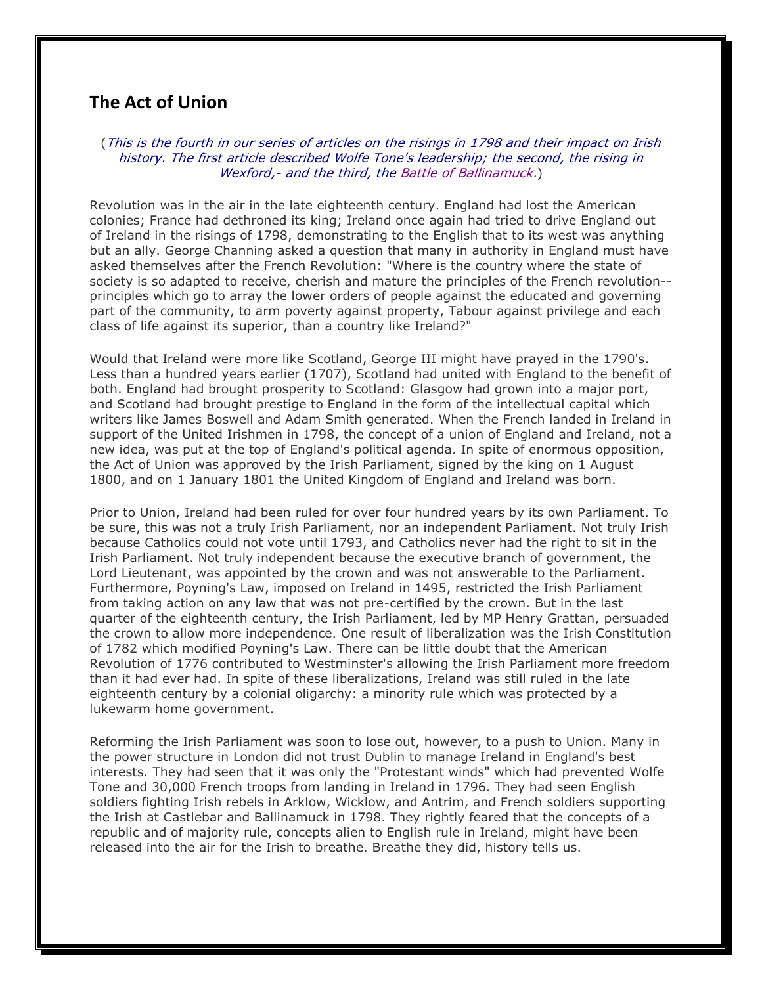## **The Act of Union**

(This is the fourth in our series of articles on the risings in 1798 and their impact on Irish history. The first article described Wolfe Tone's leadership; the second, the rising in Wexford, - and the third, the Battle of Ballinamuck.)

Revolution was in the air in the late eighteenth century. England had lost the American colonies; France had dethroned its king; Ireland once again had tried to drive England out of Ireland in the risings of 1798, demonstrating to the English that to its west was anything but an ally. George Channing asked a question that many in authority in England must have asked themselves after the French Revolution: "Where is the country where the state of society is so adapted to receive, cherish and mature the principles of the French revolution- principles which go to array the lower orders of people against the educated and governing part of the community, to arm poverty against property, Tabour against privilege and each class of life against its superior, than a country like Ireland?"

Would that Ireland were more like Scotland, George III might have prayed in the 1790's. Less than a hundred years earlier (1707), Scotland had united with England to the benefit of both. England had brought prosperity to Scotland: Glasgow had grown into a major port, and Scotland had brought prestige to England in the form of the intellectual capital which writers like James Boswell and Adam Smith generated. When the French landed in Ireland in support of the United Irishmen in 1798, the concept of a union of England and Ireland, not a new idea, was put at the top of England's political agenda. In spite of enormous opposition, the Act of Union was approved by the Irish Parliament, signed by the king on 1 August 1800, and on 1 January 1801 the United Kingdom of England and Ireland was born.

Prior to Union, Ireland had been ruled for over four hundred years by its own Parliament. To be sure, this was not a truly Irish Parliament, nor an independent Parliament. Not truly Irish because Catholics could not vote until 1793, and Catholics never had the right to sit in the Irish Parliament. Not truly independent because the executive branch of government, the Lord Lieutenant, was appointed by the crown and was not answerable to the Parliament. Furthermore, Poyning's Law, imposed on Ireland in 1495, restricted the Irish Parliament from taking action on any law that was not pre-certified by the crown. But in the last quarter of the eighteenth century, the Irish Parliament, led by MP Henry Grattan, persuaded the crown to allow more independence. One result of liberalization was the Irish Constitution of 1782 which modified Poyning's Law. There can be little doubt that the American Revolution of 1776 contributed to Westminster's allowing the Irish Parliament more freedom than it had ever had. In spite of these liberalizations, Ireland was still ruled in the late eighteenth century by a colonial oligarchy: a minority rule which was protected by a lukewarm home government.

Reforming the Irish Parliament was soon to lose out, however, to a push to Union. Many in the power structure in London did not trust Dublin to manage Ireland in England's best interests. They had seen that it was only the "Protestant winds" which had prevented Wolfe Tone and 30,000 French troops from landing in Ireland in 1796. They had seen English soldiers fighting Irish rebels in Arklow, Wicklow, and Antrim, and French soldiers supporting the Irish at Castlebar and Ballinamuck in 1798. They rightly feared that the concepts of a republic and of majority rule, concepts alien to English rule in Ireland, might have been released into the air for the Irish to breathe. Breathe they did, history tells us.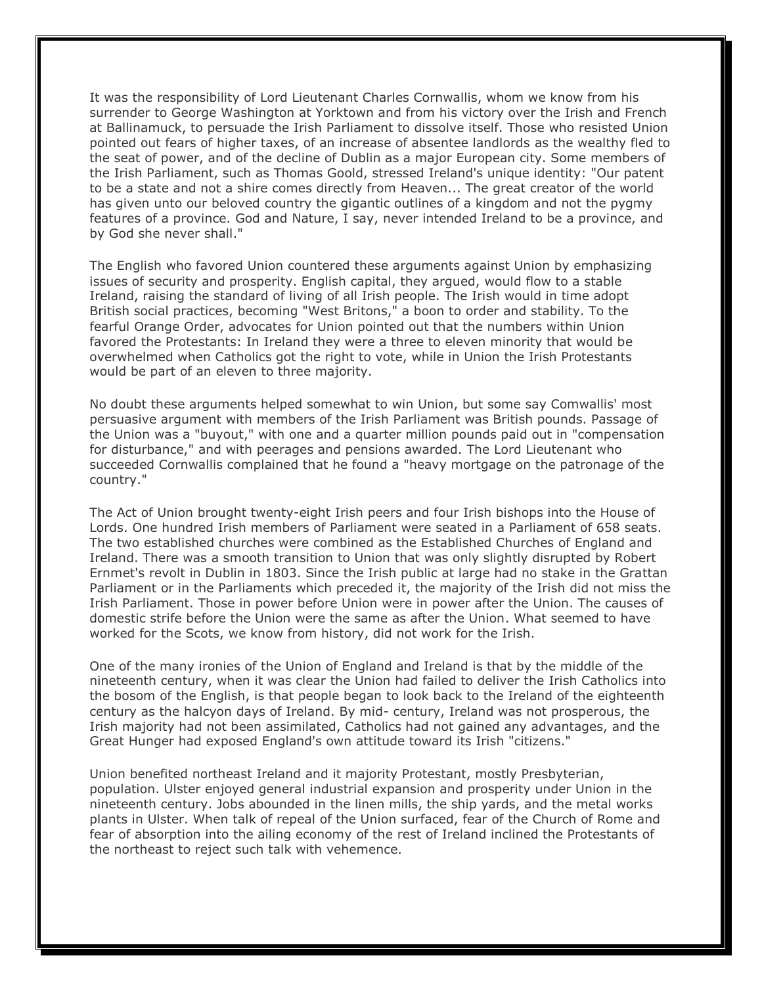It was the responsibility of Lord Lieutenant Charles Cornwallis, whom we know from his surrender to George Washington at Yorktown and from his victory over the Irish and French at Ballinamuck, to persuade the Irish Parliament to dissolve itself. Those who resisted Union pointed out fears of higher taxes, of an increase of absentee landlords as the wealthy fled to the seat of power, and of the decline of Dublin as a major European city. Some members of the Irish Parliament, such as Thomas Goold, stressed Ireland's unique identity: "Our patent to be a state and not a shire comes directly from Heaven... The great creator of the world has given unto our beloved country the gigantic outlines of a kingdom and not the pygmy features of a province. God and Nature, I say, never intended Ireland to be a province, and by God she never shall."

The English who favored Union countered these arguments against Union by emphasizing issues of security and prosperity. English capital, they argued, would flow to a stable Ireland, raising the standard of living of all Irish people. The Irish would in time adopt British social practices, becoming "West Britons," a boon to order and stability. To the fearful Orange Order, advocates for Union pointed out that the numbers within Union favored the Protestants: In Ireland they were a three to eleven minority that would be overwhelmed when Catholics got the right to vote, while in Union the Irish Protestants would be part of an eleven to three majority.

No doubt these arguments helped somewhat to win Union, but some say Comwallis' most persuasive argument with members of the Irish Parliament was British pounds. Passage of the Union was a "buyout," with one and a quarter million pounds paid out in "compensation for disturbance," and with peerages and pensions awarded. The Lord Lieutenant who succeeded Cornwallis complained that he found a "heavy mortgage on the patronage of the country."

The Act of Union brought twenty-eight Irish peers and four Irish bishops into the House of Lords. One hundred Irish members of Parliament were seated in a Parliament of 658 seats. The two established churches were combined as the Established Churches of England and Ireland. There was a smooth transition to Union that was only slightly disrupted by Robert Ernmet's revolt in Dublin in 1803. Since the Irish public at large had no stake in the Grattan Parliament or in the Parliaments which preceded it, the majority of the Irish did not miss the Irish Parliament. Those in power before Union were in power after the Union. The causes of domestic strife before the Union were the same as after the Union. What seemed to have worked for the Scots, we know from history, did not work for the Irish.

One of the many ironies of the Union of England and Ireland is that by the middle of the nineteenth century, when it was clear the Union had failed to deliver the Irish Catholics into the bosom of the English, is that people began to look back to the Ireland of the eighteenth century as the halcyon days of Ireland. By mid- century, Ireland was not prosperous, the Irish majority had not been assimilated, Catholics had not gained any advantages, and the Great Hunger had exposed England's own attitude toward its Irish "citizens."

Union benefited northeast Ireland and it majority Protestant, mostly Presbyterian, population. Ulster enjoyed general industrial expansion and prosperity under Union in the nineteenth century. Jobs abounded in the linen mills, the ship yards, and the metal works plants in Ulster. When talk of repeal of the Union surfaced, fear of the Church of Rome and fear of absorption into the ailing economy of the rest of Ireland inclined the Protestants of the northeast to reject such talk with vehemence.